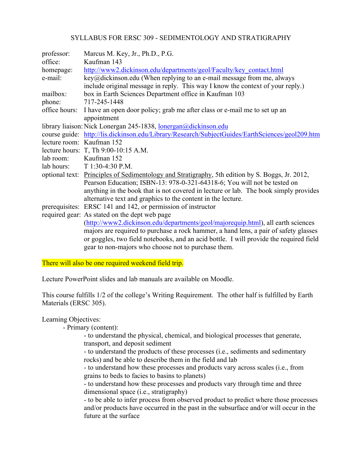## SYLLABUS FOR ERSC 309 - SEDIMENTOLOGY AND STRATIGRAPHY

| professor:                | Marcus M. Key, Jr., Ph.D., P.G.                                                                 |  |  |
|---------------------------|-------------------------------------------------------------------------------------------------|--|--|
| office:                   | Kaufman 143                                                                                     |  |  |
| homepage:                 | http://www2.dickinson.edu/departments/geol/Faculty/key_contact.html                             |  |  |
| e-mail:                   | $key@$ dickinson.edu (When replying to an e-mail message from me, always                        |  |  |
|                           | include original message in reply. This way I know the context of your reply.)                  |  |  |
| mailbox:                  | box in Earth Sciences Department office in Kaufman 103                                          |  |  |
| phone:                    | 717-245-1448                                                                                    |  |  |
| office hours:             | I have an open door policy; grab me after class or e-mail me to set up an                       |  |  |
|                           | appointment                                                                                     |  |  |
|                           | library liaison: Nick Lonergan 245-1838, lonergan@dickinson.edu                                 |  |  |
|                           | course guide: http://lis.dickinson.edu/Library/Research/SubjectGuides/EarthSciences/geol209.htm |  |  |
| lecture room: Kaufman 152 |                                                                                                 |  |  |
|                           | lecture hours: T, Th 9:00-10:15 A.M.                                                            |  |  |
| lab room: Kaufman 152     |                                                                                                 |  |  |
|                           | lab hours: $T 1:30-4:30$ P.M.                                                                   |  |  |
|                           | optional text: Principles of Sedimentology and Stratigraphy, 5th edition by S. Boggs, Jr. 2012, |  |  |
|                           | Pearson Education; ISBN-13: 978-0-321-64318-6; You will not be tested on                        |  |  |
|                           | anything in the book that is not covered in lecture or lab. The book simply provides            |  |  |
|                           | alternative text and graphics to the content in the lecture.                                    |  |  |
|                           | prerequisites: ERSC 141 and 142, or permission of instructor                                    |  |  |
|                           | required gear: As stated on the dept web page                                                   |  |  |
|                           | (http://www2.dickinson.edu/departments/geol/majorequip.html), all earth sciences                |  |  |
|                           | majors are required to purchase a rock hammer, a hand lens, a pair of safety glasses            |  |  |
|                           | or goggles, two field notebooks, and an acid bottle. I will provide the required field          |  |  |
|                           | gear to non-majors who choose not to purchase them.                                             |  |  |

There will also be one required weekend field trip.

Lecture PowerPoint slides and lab manuals are available on Moodle.

This course fulfills 1/2 of the college's Writing Requirement. The other half is fulfilled by Earth Materials (ERSC 305).

Learning Objectives:

- Primary (content):

- to understand the physical, chemical, and biological processes that generate, transport, and deposit sediment

- to understand the products of these processes (i.e., sediments and sedimentary rocks) and be able to describe them in the field and lab

- to understand how these processes and products vary across scales (i.e., from grains to beds to facies to basins to planets)

- to understand how these processes and products vary through time and three dimensional space (i.e., stratigraphy)

- to be able to infer process from observed product to predict where those processes and/or products have occurred in the past in the subsurface and/or will occur in the future at the surface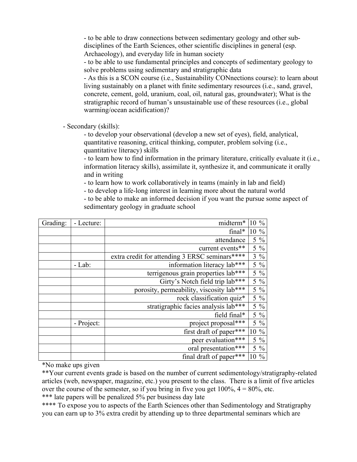- to be able to draw connections between sedimentary geology and other subdisciplines of the Earth Sciences, other scientific disciplines in general (esp. Archaeology), and everyday life in human society

- to be able to use fundamental principles and concepts of sedimentary geology to solve problems using sedimentary and stratigraphic data

- As this is a SCON course (i.e., Sustainability CONnections course): to learn about living sustainably on a planet with finite sedimentary resources (i.e., sand, gravel, concrete, cement, gold, uranium, coal, oil, natural gas, groundwater); What is the stratigraphic record of human's unsustainable use of these resources (i.e., global warming/ocean acidification)?

- Secondary (skills):

- to develop your observational (develop a new set of eyes), field, analytical, quantitative reasoning, critical thinking, computer, problem solving (i.e., quantitative literacy) skills

- to learn how to find information in the primary literature, critically evaluate it (i.e., information literacy skills), assimilate it, synthesize it, and communicate it orally and in writing

- to learn how to work collaboratively in teams (mainly in lab and field)

- to develop a life-long interest in learning more about the natural world

- to be able to make an informed decision if you want the pursue some aspect of sedimentary geology in graduate school

| Grading: | - Lecture: | midterm*                                       | 10 %   |                |
|----------|------------|------------------------------------------------|--------|----------------|
|          |            | $final*$                                       | $10\%$ |                |
|          |            | attendance                                     |        | $5\%$          |
|          |            | current events**                               |        | $5\frac{0}{6}$ |
|          |            | extra credit for attending 3 ERSC seminars**** |        | $3\%$          |
|          | $-Lab$ :   | information literacy lab***                    |        | $5\frac{0}{6}$ |
|          |            | terrigenous grain properties lab***            |        | $5 \ \%$       |
|          |            | Girty's Notch field trip lab***                |        | $5\%$          |
|          |            | porosity, permeability, viscosity lab***       |        | $5\frac{0}{6}$ |
|          |            | rock classification quiz*                      |        | $5\frac{0}{6}$ |
|          |            | stratigraphic facies analysis lab***           |        | $5\frac{0}{6}$ |
|          |            | field final*                                   |        | $5\frac{0}{6}$ |
|          | - Project: | project proposal***                            |        | $5\frac{0}{6}$ |
|          |            | first draft of paper***                        | 10 %   |                |
|          |            | peer evaluation***                             |        | $5\%$          |
|          |            | oral presentation***                           |        | $5\frac{0}{6}$ |
|          |            | final draft of paper***                        | 10 %   |                |

\*No make ups given

\*\*Your current events grade is based on the number of current sedimentology/stratigraphy-related articles (web, newspaper, magazine, etc.) you present to the class. There is a limit of five articles over the course of the semester, so if you bring in five you get  $100\%$ ,  $4 = 80\%$ , etc.

\*\*\* late papers will be penalized 5% per business day late

\*\*\*\* To expose you to aspects of the Earth Sciences other than Sedimentology and Stratigraphy you can earn up to 3% extra credit by attending up to three departmental seminars which are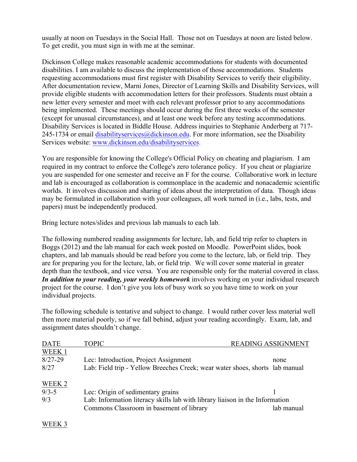usually at noon on Tuesdays in the Social Hall. Those not on Tuesdays at noon are listed below. To get credit, you must sign in with me at the seminar.

Dickinson College makes reasonable academic accommodations for students with documented disabilities. I am available to discuss the implementation of those accommodations. Students requesting accommodations must first register with Disability Services to verify their eligibility. After documentation review, Marni Jones, Director of Learning Skills and Disability Services, will provide eligible students with accommodation letters for their professors. Students must obtain a new letter every semester and meet with each relevant professor prior to any accommodations being implemented. These meetings should occur during the first three weeks of the semester (except for unusual circumstances), and at least one week before any testing accommodations. Disability Services is located in Biddle House. Address inquiries to Stephanie Anderberg at 717- 245-1734 or email disabilityservices  $\omega$  dickinson.edu. For more information, see the Disability Services website: www.dickinson.edu/disabilityservices.

You are responsible for knowing the College's Official Policy on cheating and plagiarism. I am required in my contract to enforce the College's zero tolerance policy. If you cheat or plagiarize you are suspended for one semester and receive an F for the course. Collaborative work in lecture and lab is encouraged as collaboration is commonplace in the academic and nonacademic scientific worlds. It involves discussion and sharing of ideas about the interpretation of data. Though ideas may be formulated in collaboration with your colleagues, all work turned in (i.e., labs, tests, and papers) must be independently produced.

Bring lecture notes/slides and previous lab manuals to each lab.

The following numbered reading assignments for lecture, lab, and field trip refer to chapters in Boggs (2012) and the lab manual for each week posted on Moodle. PowerPoint slides, book chapters, and lab manuals should be read before you come to the lecture, lab, or field trip. They are for preparing you for the lecture, lab, or field trip. We will cover some material in greater depth than the textbook, and vice versa. You are responsible only for the material covered in class. *In addition to your reading, your weekly homework* involves working on your individual research project for the course. I don't give you lots of busy work so you have time to work on your individual projects.

The following schedule is tentative and subject to change. I would rather cover less material well then more material poorly, so if we fall behind, adjust your reading accordingly. Exam, lab, and assignment dates shouldn't change.

| <b>DATE</b> | <b>TOPIC</b>                                                                 | <b>READING ASSIGNMENT</b> |            |
|-------------|------------------------------------------------------------------------------|---------------------------|------------|
| WEEK 1      |                                                                              |                           |            |
| $8/27 - 29$ | Lec: Introduction, Project Assignment                                        |                           | none       |
| 8/27        | Lab: Field trip - Yellow Breeches Creek; wear water shoes, shorts lab manual |                           |            |
| WEEK 2      |                                                                              |                           |            |
| $9/3 - 5$   | Lec: Origin of sedimentary grains                                            |                           |            |
| 9/3         | Lab: Information literacy skills lab with library liaison in the Information |                           |            |
|             | Commons Classroom in basement of library                                     |                           | lab manual |
|             |                                                                              |                           |            |

## WEEK 3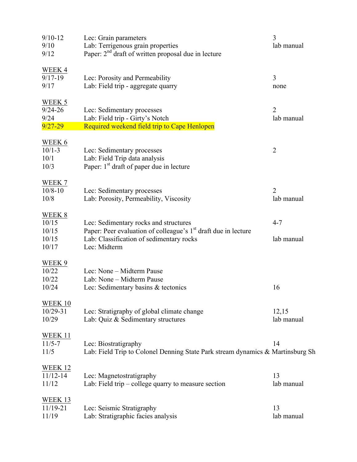| $9/10 - 12$    | Lec: Grain parameters                                                          | 3              |
|----------------|--------------------------------------------------------------------------------|----------------|
| 9/10           | Lab: Terrigenous grain properties                                              | lab manual     |
| 9/12           | Paper: $2nd$ draft of written proposal due in lecture                          |                |
|                |                                                                                |                |
| WEEK 4         |                                                                                |                |
| $9/17 - 19$    | Lec: Porosity and Permeability                                                 | 3              |
| 9/17           | Lab: Field trip - aggregate quarry                                             | none           |
|                |                                                                                |                |
| WEEK 5         |                                                                                |                |
| $9/24 - 26$    |                                                                                | $\overline{2}$ |
|                | Lec: Sedimentary processes                                                     |                |
| 9/24           | Lab: Field trip - Girty's Notch                                                | lab manual     |
| $9/27 - 29$    | Required weekend field trip to Cape Henlopen                                   |                |
|                |                                                                                |                |
| WEEK 6         |                                                                                |                |
| $10/1 - 3$     | Lec: Sedimentary processes                                                     | $\overline{2}$ |
| 10/1           | Lab: Field Trip data analysis                                                  |                |
| 10/3           | Paper: 1 <sup>st</sup> draft of paper due in lecture                           |                |
|                |                                                                                |                |
| WEEK 7         |                                                                                |                |
| $10/8 - 10$    | Lec: Sedimentary processes                                                     | $\overline{2}$ |
| 10/8           | Lab: Porosity, Permeability, Viscosity                                         | lab manual     |
|                |                                                                                |                |
| WEEK 8         |                                                                                |                |
|                |                                                                                | $4 - 7$        |
| 10/15          | Lec: Sedimentary rocks and structures                                          |                |
| 10/15          | Paper: Peer evaluation of colleague's 1 <sup>st</sup> draft due in lecture     |                |
| 10/15          | Lab: Classification of sedimentary rocks                                       | lab manual     |
| 10/17          | Lec: Midterm                                                                   |                |
|                |                                                                                |                |
| WEEK 9         |                                                                                |                |
| 10/22          | Lec: None - Midterm Pause                                                      |                |
| 10/22          | Lab: None - Midterm Pause                                                      |                |
| 10/24          | Lec: Sedimentary basins & tectonics                                            | 16             |
|                |                                                                                |                |
| WEEK 10        |                                                                                |                |
| $10/29 - 31$   | Lec: Stratigraphy of global climate change                                     | 12,15          |
| 10/29          | Lab: Quiz & Sedimentary structures                                             | lab manual     |
|                |                                                                                |                |
|                |                                                                                |                |
| <b>WEEK 11</b> |                                                                                |                |
| $11/5 - 7$     | Lec: Biostratigraphy                                                           | 14             |
| 11/5           | Lab: Field Trip to Colonel Denning State Park stream dynamics & Martinsburg Sh |                |
|                |                                                                                |                |
| <b>WEEK 12</b> |                                                                                |                |
| $11/12 - 14$   | Lec: Magnetostratigraphy                                                       | 13             |
| 11/12          | Lab: Field trip $-$ college quarry to measure section                          | lab manual     |
|                |                                                                                |                |
| <b>WEEK 13</b> |                                                                                |                |
| 11/19-21       | Lec: Seismic Stratigraphy                                                      | 13             |
| 11/19          | Lab: Stratigraphic facies analysis                                             | lab manual     |
|                |                                                                                |                |